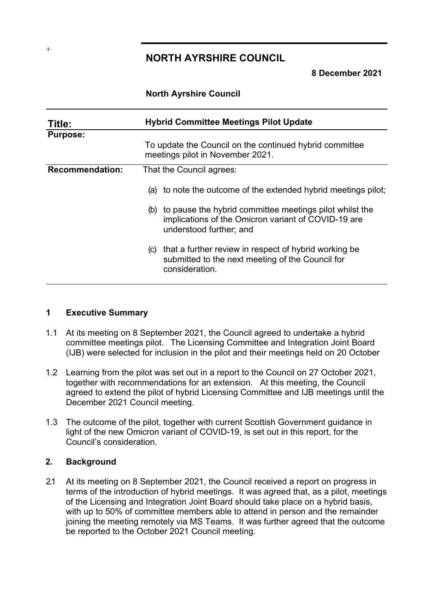# **NORTH AYRSHIRE COUNCIL**

**8 December 2021**

### **North Ayrshire Council**

| Title:                 | <b>Hybrid Committee Meetings Pilot Update</b>                                                                                                    |
|------------------------|--------------------------------------------------------------------------------------------------------------------------------------------------|
| <b>Purpose:</b>        |                                                                                                                                                  |
|                        | To update the Council on the continued hybrid committee<br>meetings pilot in November 2021.                                                      |
| <b>Recommendation:</b> | That the Council agrees:                                                                                                                         |
|                        | (a) to note the outcome of the extended hybrid meetings pilot;                                                                                   |
|                        | to pause the hybrid committee meetings pilot whilst the<br>(b)<br>implications of the Omicron variant of COVID-19 are<br>understood further; and |
|                        | that a further review in respect of hybrid working be<br>(C)<br>submitted to the next meeting of the Council for<br>consideration.               |

#### **1 Executive Summary**

- 1.1 At its meeting on 8 September 2021, the Council agreed to undertake a hybrid committee meetings pilot. The Licensing Committee and Integration Joint Board (IJB) were selected for inclusion in the pilot and their meetings held on 20 October
- 1.2 Learning from the pilot was set out in a report to the Council on 27 October 2021, together with recommendations for an extension. At this meeting, the Council agreed to extend the pilot of hybrid Licensing Committee and IJB meetings until the December 2021 Council meeting.
- 1.3 The outcome of the pilot, together with current Scottish Government guidance in light of the new Omicron variant of COVID-19, is set out in this report, for the Council's consideration.

### **2. Background**

2.1 At its meeting on 8 September 2021, the Council received a report on progress in terms of the introduction of hybrid meetings. It was agreed that, as a pilot, meetings of the Licensing and Integration Joint Board should take place on a hybrid basis, with up to 50% of committee members able to attend in person and the remainder joining the meeting remotely via MS Teams. It was further agreed that the outcome be reported to the October 2021 Council meeting.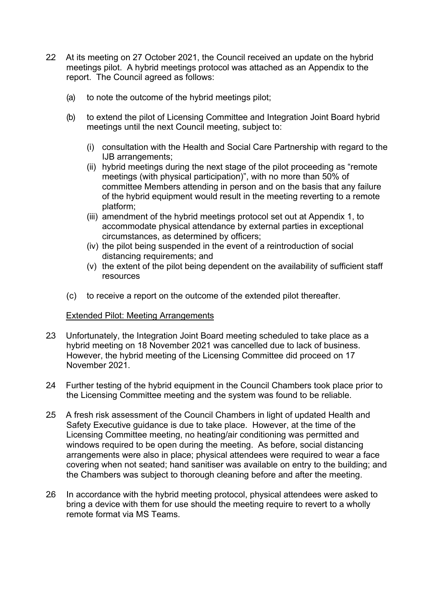- 22 At its meeting on 27 October 2021, the Council received an update on the hybrid meetings pilot. A hybrid meetings protocol was attached as an Appendix to the report. The Council agreed as follows:
	- (a) to note the outcome of the hybrid meetings pilot;
	- (b) to extend the pilot of Licensing Committee and Integration Joint Board hybrid meetings until the next Council meeting, subject to:
		- (i) consultation with the Health and Social Care Partnership with regard to the IJB arrangements;
		- (ii) hybrid meetings during the next stage of the pilot proceeding as "remote meetings (with physical participation)", with no more than 50% of committee Members attending in person and on the basis that any failure of the hybrid equipment would result in the meeting reverting to a remote platform;
		- (iii) amendment of the hybrid meetings protocol set out at Appendix 1, to accommodate physical attendance by external parties in exceptional circumstances, as determined by officers;
		- (iv) the pilot being suspended in the event of a reintroduction of social distancing requirements; and
		- (v) the extent of the pilot being dependent on the availability of sufficient staff resources
	- (c) to receive a report on the outcome of the extended pilot thereafter.

### Extended Pilot: Meeting Arrangements

- 2.3 Unfortunately, the Integration Joint Board meeting scheduled to take place as a hybrid meeting on 18 November 2021 was cancelled due to lack of business. However, the hybrid meeting of the Licensing Committee did proceed on 17 November 2021.
- 2.4 Further testing of the hybrid equipment in the Council Chambers took place prior to the Licensing Committee meeting and the system was found to be reliable.
- 2.5 A fresh risk assessment of the Council Chambers in light of updated Health and Safety Executive guidance is due to take place. However, at the time of the Licensing Committee meeting, no heating/air conditioning was permitted and windows required to be open during the meeting. As before, social distancing arrangements were also in place; physical attendees were required to wear a face covering when not seated; hand sanitiser was available on entry to the building; and the Chambers was subject to thorough cleaning before and after the meeting.
- 2.6 In accordance with the hybrid meeting protocol, physical attendees were asked to bring a device with them for use should the meeting require to revert to a wholly remote format via MS Teams.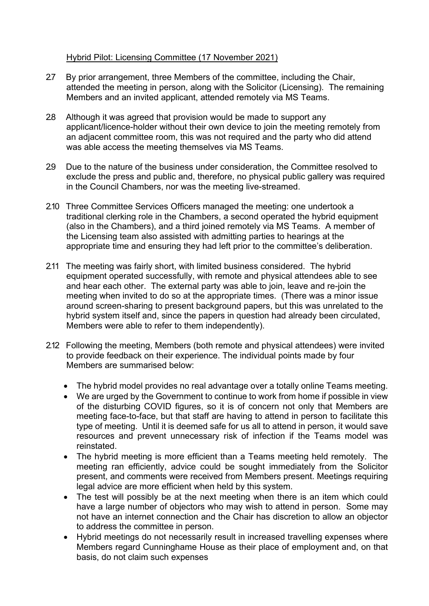## Hybrid Pilot: Licensing Committee (17 November 2021)

- 2.7 By prior arrangement, three Members of the committee, including the Chair, attended the meeting in person, along with the Solicitor (Licensing). The remaining Members and an invited applicant, attended remotely via MS Teams.
- 2.8 Although it was agreed that provision would be made to support any applicant/licence-holder without their own device to join the meeting remotely from an adjacent committee room, this was not required and the party who did attend was able access the meeting themselves via MS Teams.
- 2.9 Due to the nature of the business under consideration, the Committee resolved to exclude the press and public and, therefore, no physical public gallery was required in the Council Chambers, nor was the meeting live-streamed.
- 2.10 Three Committee Services Officers managed the meeting: one undertook a traditional clerking role in the Chambers, a second operated the hybrid equipment (also in the Chambers), and a third joined remotely via MS Teams. A member of the Licensing team also assisted with admitting parties to hearings at the appropriate time and ensuring they had left prior to the committee's deliberation.
- 2.11 The meeting was fairly short, with limited business considered. The hybrid equipment operated successfully, with remote and physical attendees able to see and hear each other. The external party was able to join, leave and re-join the meeting when invited to do so at the appropriate times. (There was a minor issue around screen-sharing to present background papers, but this was unrelated to the hybrid system itself and, since the papers in question had already been circulated, Members were able to refer to them independently).
- 2.12 Following the meeting, Members (both remote and physical attendees) were invited to provide feedback on their experience. The individual points made by four Members are summarised below:
	- The hybrid model provides no real advantage over a totally online Teams meeting.
	- We are urged by the Government to continue to work from home if possible in view of the disturbing COVID figures, so it is of concern not only that Members are meeting face-to-face, but that staff are having to attend in person to facilitate this type of meeting. Until it is deemed safe for us all to attend in person, it would save resources and prevent unnecessary risk of infection if the Teams model was reinstated.
	- The hybrid meeting is more efficient than a Teams meeting held remotely. The meeting ran efficiently, advice could be sought immediately from the Solicitor present, and comments were received from Members present. Meetings requiring legal advice are more efficient when held by this system.
	- The test will possibly be at the next meeting when there is an item which could have a large number of objectors who may wish to attend in person. Some may not have an internet connection and the Chair has discretion to allow an objector to address the committee in person.
	- Hybrid meetings do not necessarily result in increased travelling expenses where Members regard Cunninghame House as their place of employment and, on that basis, do not claim such expenses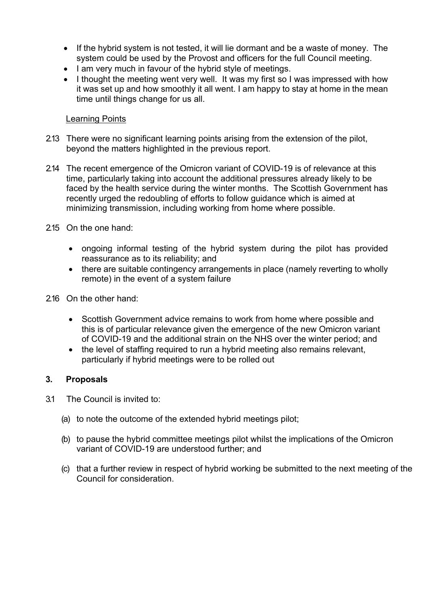- If the hybrid system is not tested, it will lie dormant and be a waste of money. The system could be used by the Provost and officers for the full Council meeting.
- I am very much in favour of the hybrid style of meetings.
- I thought the meeting went very well. It was my first so I was impressed with how it was set up and how smoothly it all went. I am happy to stay at home in the mean time until things change for us all.

### Learning Points

- 2.13 There were no significant learning points arising from the extension of the pilot, beyond the matters highlighted in the previous report.
- 2.14 The recent emergence of the Omicron variant of COVID-19 is of relevance at this time, particularly taking into account the additional pressures already likely to be faced by the health service during the winter months. The Scottish Government has recently urged the redoubling of efforts to follow guidance which is aimed at minimizing transmission, including working from home where possible.
- 2.15 On the one hand:
	- ongoing informal testing of the hybrid system during the pilot has provided reassurance as to its reliability; and
	- there are suitable contingency arrangements in place (namely reverting to wholly remote) in the event of a system failure
- 2.16 On the other hand:
	- Scottish Government advice remains to work from home where possible and this is of particular relevance given the emergence of the new Omicron variant of COVID-19 and the additional strain on the NHS over the winter period; and
	- the level of staffing required to run a hybrid meeting also remains relevant, particularly if hybrid meetings were to be rolled out

### **3. Proposals**

- 3.1 The Council is invited to:
	- (a) to note the outcome of the extended hybrid meetings pilot;
	- (b) to pause the hybrid committee meetings pilot whilst the implications of the Omicron variant of COVID-19 are understood further; and
	- (c) that a further review in respect of hybrid working be submitted to the next meeting of the Council for consideration.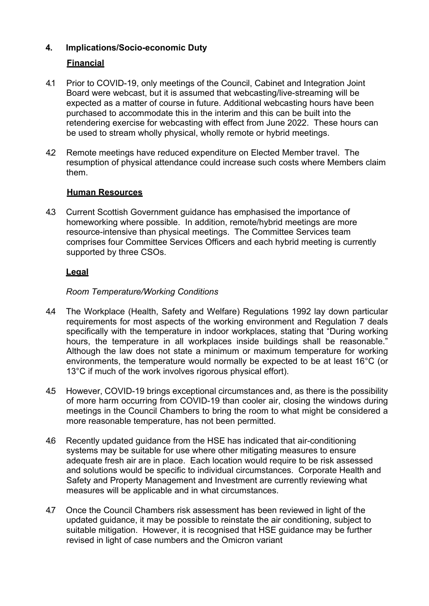# **4. Implications/Socio-economic Duty**

## **Financial**

- 4.1 Prior to COVID-19, only meetings of the Council, Cabinet and Integration Joint Board were webcast, but it is assumed that webcasting/live-streaming will be expected as a matter of course in future. Additional webcasting hours have been purchased to accommodate this in the interim and this can be built into the retendering exercise for webcasting with effect from June 2022. These hours can be used to stream wholly physical, wholly remote or hybrid meetings.
- 4.2 Remote meetings have reduced expenditure on Elected Member travel. The resumption of physical attendance could increase such costs where Members claim them.

## **Human Resources**

4.3 Current Scottish Government guidance has emphasised the importance of homeworking where possible. In addition, remote/hybrid meetings are more resource-intensive than physical meetings. The Committee Services team comprises four Committee Services Officers and each hybrid meeting is currently supported by three CSOs.

## **Legal**

## *Room Temperature/Working Conditions*

- 4.4 The Workplace (Health, Safety and Welfare) Regulations 1992 lay down particular requirements for most aspects of the working environment and Regulation 7 deals specifically with the temperature in indoor workplaces, stating that "During working hours, the temperature in all workplaces inside buildings shall be reasonable." Although the law does not state a minimum or maximum temperature for working environments, the temperature would normally be expected to be at least 16°C (or 13°C if much of the work involves rigorous physical effort).
- 4.5 However, COVID-19 brings exceptional circumstances and, as there is the possibility of more harm occurring from COVID-19 than cooler air, closing the windows during meetings in the Council Chambers to bring the room to what might be considered a more reasonable temperature, has not been permitted.
- 4.6 Recently updated guidance from the HSE has indicated that air-conditioning systems may be suitable for use where other mitigating measures to ensure adequate fresh air are in place. Each location would require to be risk assessed and solutions would be specific to individual circumstances. Corporate Health and Safety and Property Management and Investment are currently reviewing what measures will be applicable and in what circumstances.
- 4.7 Once the Council Chambers risk assessment has been reviewed in light of the updated guidance, it may be possible to reinstate the air conditioning, subject to suitable mitigation. However, it is recognised that HSE guidance may be further revised in light of case numbers and the Omicron variant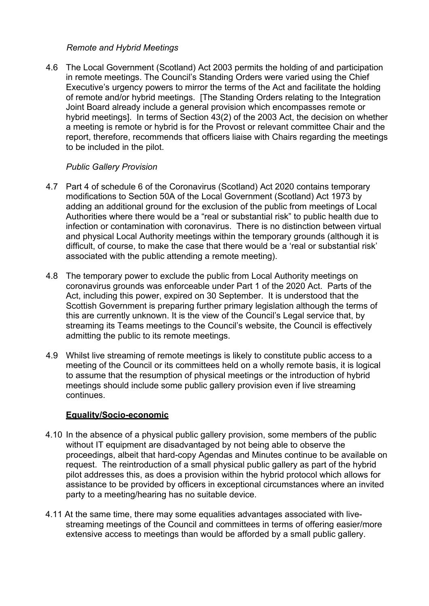### *Remote and Hybrid Meetings*

4.6 The Local Government (Scotland) Act 2003 permits the holding of and participation in remote meetings. The Council's Standing Orders were varied using the Chief Executive's urgency powers to mirror the terms of the Act and facilitate the holding of remote and/or hybrid meetings. [The Standing Orders relating to the Integration Joint Board already include a general provision which encompasses remote or hybrid meetings]. In terms of Section 43(2) of the 2003 Act, the decision on whether a meeting is remote or hybrid is for the Provost or relevant committee Chair and the report, therefore, recommends that officers liaise with Chairs regarding the meetings to be included in the pilot.

## *Public Gallery Provision*

- 4.7 Part 4 of schedule 6 of the Coronavirus (Scotland) Act 2020 contains temporary modifications to Section 50A of the Local Government (Scotland) Act 1973 by adding an additional ground for the exclusion of the public from meetings of Local Authorities where there would be a "real or substantial risk" to public health due to infection or contamination with coronavirus. There is no distinction between virtual and physical Local Authority meetings within the temporary grounds (although it is difficult, of course, to make the case that there would be a 'real or substantial risk' associated with the public attending a remote meeting).
- 4.8 The temporary power to exclude the public from Local Authority meetings on coronavirus grounds was enforceable under Part 1 of the 2020 Act. Parts of the Act, including this power, expired on 30 September. It is understood that the Scottish Government is preparing further primary legislation although the terms of this are currently unknown. It is the view of the Council's Legal service that, by streaming its Teams meetings to the Council's website, the Council is effectively admitting the public to its remote meetings.
- 4.9 Whilst live streaming of remote meetings is likely to constitute public access to a meeting of the Council or its committees held on a wholly remote basis, it is logical to assume that the resumption of physical meetings or the introduction of hybrid meetings should include some public gallery provision even if live streaming continues.

## **Equality/Socio-economic**

- 4.10 In the absence of a physical public gallery provision, some members of the public without IT equipment are disadvantaged by not being able to observe the proceedings, albeit that hard-copy Agendas and Minutes continue to be available on request. The reintroduction of a small physical public gallery as part of the hybrid pilot addresses this, as does a provision within the hybrid protocol which allows for assistance to be provided by officers in exceptional circumstances where an invited party to a meeting/hearing has no suitable device.
- 4.11 At the same time, there may some equalities advantages associated with livestreaming meetings of the Council and committees in terms of offering easier/more extensive access to meetings than would be afforded by a small public gallery.